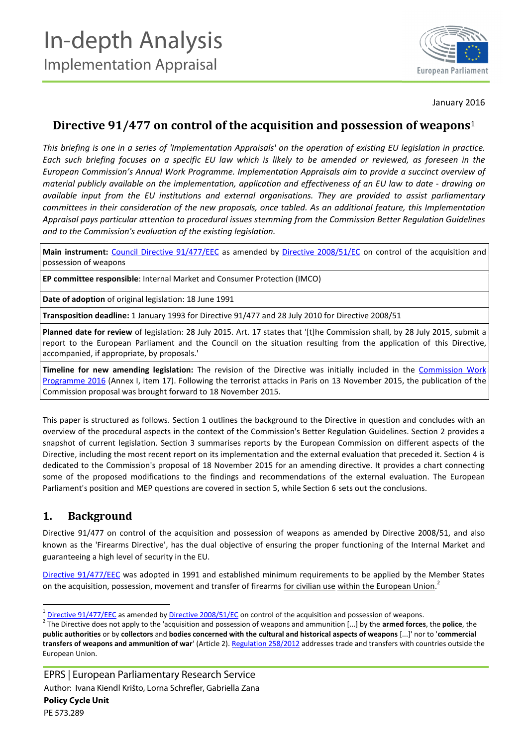

January 2016

# **Directive 91/477 on control of the acquisition and possession of weapons**<sup>1</sup>

*This briefing is one in a series of 'Implementation Appraisals' on the operation of existing EU legislation in practice. Each such briefing focuses on a specific EU law which is likely to be amended or reviewed, as foreseen in the European Commission's Annual Work Programme. Implementation Appraisals aim to provide a succinct overview of material publicly available on the implementation, application and effectiveness of an EU law to date - drawing on available input from the EU institutions and external organisations. They are provided to assist parliamentary committees in their consideration of the new proposals, once tabled. As an additional feature, this Implementation Appraisal pays particular attention to procedural issues stemming from the Commission Better Regulation Guidelines and to the Commission's evaluation of the existing legislation.*

Main instrument: Council [Directive 91/477/EEC](http://eur-lex.europa.eu/legal-content/EN/TXT/?uri=CELEX:31991L0477) as amended by [Directive 2008/51/EC](http://eur-lex.europa.eu/legal-content/EN/TXT/?uri=CELEX:32008L0051) on control of the acquisition and possession of weapons

**EP committee responsible**: Internal Market and Consumer Protection (IMCO)

**Date of adoption** of original legislation: 18 June 1991

**Transposition deadline:** 1 January 1993 for Directive 91/477 and 28 July 2010 for Directive 2008/51

**Planned date for review** of legislation: 28 July 2015. Art. 17 states that '[t]he Commission shall, by 28 July 2015, submit a report to the European Parliament and the Council on the situation resulting from the application of this Directive, accompanied, if appropriate, by proposals.'

**Timeline for new amending legislation:** The revision of the Directive was initially included in the [Commission Work](http://ec.europa.eu/atwork/pdf/cwp_2016_annex_i_en.pdf) [Programme](http://ec.europa.eu/atwork/pdf/cwp_2016_annex_i_en.pdf) 2016 (Annex I, item 17). Following the terrorist attacks in Paris on 13 November 2015, the publication of the Commission proposal was brought forward to 18 November 2015.

This paper is structured as follows. Section 1 outlines the background to the Directive in question and concludes with an overview of the procedural aspects in the context of the Commission's Better Regulation Guidelines. Section 2 provides a snapshot of current legislation. Section 3 summarises reports by the European Commission on different aspects of the Directive, including the most recent report on its implementation and the external evaluation that preceded it. Section 4 is dedicated to the Commission's proposal of 18 November 2015 for an amending directive. It provides a chart connecting some of the proposed modifications to the findings and recommendations of the external evaluation. The European Parliament's position and MEP questions are covered in section 5, while Section 6 sets out the conclusions.

# **1. Background**

Directive 91/477 on control of the acquisition and possession of weapons as amended by Directive 2008/51, and also known as the 'Firearms Directive', has the dual objective of ensuring the proper functioning of the Internal Market and guaranteeing a high level of security in the EU.

[Directive 91/477/EEC](http://eur-lex.europa.eu/legal-content/EN/TXT/?qid=1449145722979&uri=CELEX:31991L0477) was adopted in 1991 and established minimum requirements to be applied by the Member States on the acquisition, possession, movement and transfer of firearms for civilian use within the European Union.<sup>2</sup>

 $\frac{1}{2}$  [Directive 91/477/EEC](http://eur-lex.europa.eu/legal-content/EN/TXT/?qid=1449145722979&uri=CELEX:31991L0477) as amended by [Directive 2008/51/EC](http://eur-lex.europa.eu/legal-content/EN/TXT/?uri=CELEX:32008L0051) on control of the acquisition and possession of weapons.<br>
<sup>2</sup> The Directive does not apply to the 'acquisition and possession of weapons and ammunition [.. **public authorities** or by **collectors** and **bodies concerned with the cultural and historical aspects of weapons** [...]' nor to '**commercial transfers of weapons and ammunition of war**' (Article 2). [Regulation 258/2012](http://eur-lex.europa.eu/legal-content/EN/TXT/?qid=1452692351581&uri=CELEX:32012R0258) addresses trade and transfers with countries outside the European Union.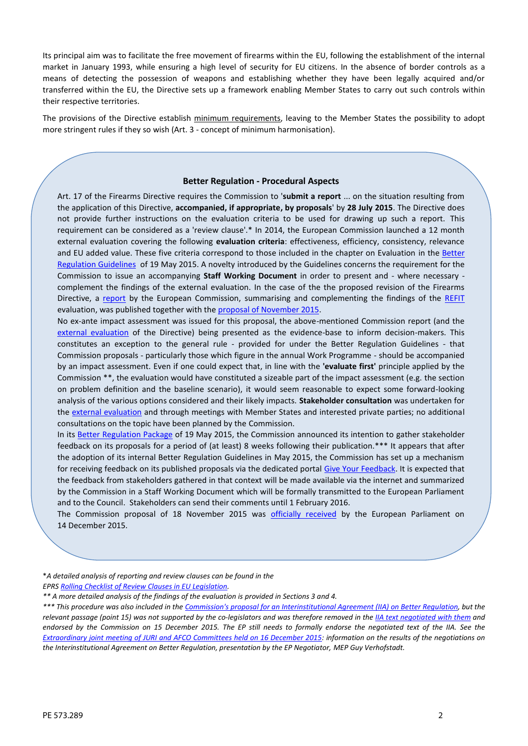Its principal aim was to facilitate the free movement of firearms within the EU, following the establishment of the internal market in January 1993, while ensuring a high level of security for EU citizens. In the absence of border controls as a means of detecting the possession of weapons and establishing whether they have been legally acquired and/or transferred within the EU, the Directive sets up a framework enabling Member States to carry out such controls within their respective territories.

The provisions of the Directive establish minimum requirements, leaving to the Member States the possibility to adopt more stringent rules if they so wish (Art. 3 - concept of minimum harmonisation).

#### **Better Regulation - Procedural Aspects**

Art. 17 of the Firearms Directive requires the Commission to '**submit a report** ... on the situation resulting from the application of this Directive, **accompanied, if appropriate, by proposals**' by **28 July 2015**. The Directive does not provide further instructions on the evaluation criteria to be used for drawing up such a report. This requirement can be considered as a 'review clause'.\* In 2014, the European Commission launched a 12 month external evaluation covering the following **evaluation criteria**: effectiveness, efficiency, consistency, relevance and EU added value. These five criteria correspond to those included in the chapter on Evaluation in the [Better](http://ec.europa.eu/smart-regulation/guidelines/docs/swd_br_guidelines_en.pdf) [Regulation Guidelines](http://ec.europa.eu/smart-regulation/guidelines/docs/swd_br_guidelines_en.pdf) of 19 May 2015. A novelty introduced by the Guidelines concerns the requirement for the Commission to issue an accompanying **Staff Working Document** in order to present and - where necessary complement the findings of the external evaluation. In the case of the the proposed revision of the Firearms Directive, a [report](http://eur-lex.europa.eu/legal-content/EN/TXT/?qid=1450199932638&uri=CELEX:52015DC0751) by the European Commission, summarising and complementing the findings of the [REFIT](http://ec.europa.eu/smart-regulation/refit/index_en.htm) evaluation, was published together with the **[proposal of November 2015](http://eur-lex.europa.eu/legal-content/EN/TXT/?uri=COM%3A2015%3A750%3AFIN)**.

No ex-ante impact assessment was issued for this proposal, the above-mentioned Commission report (and the [external evaluation](http://www.sipri.org/research/security/europe/publications/evaluation-of-the-firearms-directive) of the Directive) being presented as the evidence-base to inform decision-makers. This constitutes an exception to the general rule - provided for under the Better Regulation Guidelines - that Commission proposals - particularly those which figure in the annual Work Programme - should be accompanied by an impact assessment. Even if one could expect that, in line with the **'evaluate first'** principle applied by the Commission \*\*, the evaluation would have constituted a sizeable part of the impact assessment (e.g. the section on problem definition and the baseline scenario), it would seem reasonable to expect some forward-looking analysis of the various options considered and their likely impacts. **Stakeholder consultation** was undertaken for the [external evaluation](http://www.sipri.org/research/security/europe/publications/evaluation-of-the-firearms-directive) and through meetings with Member States and interested private parties; no additional consultations on the topic have been planned by the Commission.

In its [Better Regulation Package](http://ec.europa.eu/smart-regulation/better_regulation/key_docs_en.htm) of 19 May 2015, the Commission announced its intention to gather stakeholder feedback on its proposals for a period of (at least) 8 weeks following their publication.\*\*\* It appears that after the adoption of its internal Better Regulation Guidelines in May 2015, the Commission has set up a mechanism for receiving feedback on its published proposals via the dedicated portal [Give Your Feedback.](http://ec.europa.eu/transparency/regdoc/?fuseaction=list&documentType=FEEDBACK&language=en) It is expected that the feedback from stakeholders gathered in that context will be made available via the internet and summarized by the Commission in a Staff Working Document which will be formally transmitted to the European Parliament and to the Council. Stakeholders can send their comments until 1 February 2016.

The Commission proposal of 18 November 2015 was [officially received](http://www.europarl.europa.eu/sides/getDoc.do?pubRef=-%2f%2fEP%2f%2fTEXT%2bPV%2b20151214%2bTOC%2bDOC%2bXML%2bV0%2f%2fEN&language=EN) by the European Parliament on 14 December 2015.

\**A detailed analysis of reporting and review clauses can be found in the*

*EPRS [Rolling Checklist of Review Clauses in EU Legislation.](http://www.europarl.europa.eu/RegData/etudes/STUD/2015/573286/EPRS_STU(2015)573286_EN.pdf)*

*\*\* A more detailed analysis of the findings of the evaluation is provided in Sections 3 and 4.*

*\*\*\* This procedure was also included in the Commission's [proposal for an Interinstitutional Agreement \(IIA\) on Better Regulation,](http://eur-lex.europa.eu/legal-content/EN/TXT/?qid=1452694284740&uri=CELEX:52015DC0216) but the relevant passage (point 15) was not supported by the co-legislators and was therefore removed in the [IIA text negotiated with them](http://ec.europa.eu/smart-regulation/better_regulation/documents/20151215_iia_on_better_law_making_en.pdf) and endorsed by the Commission on 15 December 2015. The EP still needs to formally endorse the negotiated text of the IIA. See the [Extraordinary joint meeting of JURI and AFCO Committees held on 16 December 2015](http://www.europarl.europa.eu/ep-live/en/committees/video?event=20151216-1630-COMMITTEE-AFCO-JURI): information on the results of the negotiations on the Interinstitutional Agreement on Better Regulation, presentation by the EP Negotiator, MEP Guy Verhofstadt.*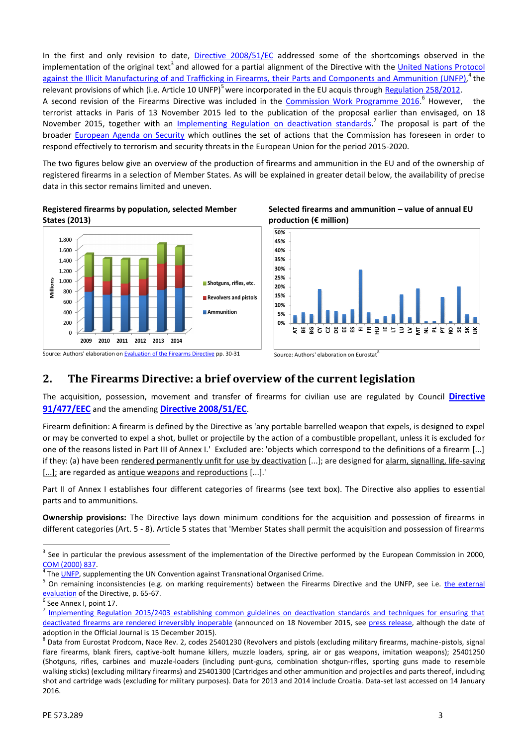In the first and only revision to date, [Directive 2008/51/EC](http://eur-lex.europa.eu/legal-content/EN/TXT/?uri=CELEX:32008L0051) addressed some of the shortcomings observed in the implementation of the original text<sup>3</sup> and allowed for a partial alignment of the Directive with the [United Nations](http://www.unodc.org/unodc/en/firearms-protocol/firearmsprotocol.html) Protocol [against the Illicit Manufacturing of and Trafficking in Firearms,](http://www.unodc.org/unodc/en/firearms-protocol/firearmsprotocol.html) their Parts and Components and Ammunition (UNFP), $^4$  the relevant provisions of which (i.e. Article 10 UNFP)<sup>5</sup> were incorporated in the EU acquis through [Regulation 258/2012](http://eur-lex.europa.eu/legal-content/EN/TXT/?qid=1452692351581&uri=CELEX:32012R0258). A second revision of the Firearms Directive was included in the [Commission Work Programme 2016](http://ec.europa.eu/atwork/pdf/cwp_2016_annex_i_en.pdf).<sup>6</sup> However, the terrorist attacks in Paris of 13 November 2015 led to the publication of the proposal earlier than envisaged, on 18 November 2015, together with an [Implementing Regulation](http://eur-lex.europa.eu/legal-content/EN/TXT/?qid=1452176160698&uri=CELEX:32015R2403) on deactivation standards.<sup>7</sup> The proposal is part of the broader [European Agenda on Security](http://eur-lex.europa.eu/legal-content/EN/TXT/?qid=1452693339719&uri=CELEX:52015DC0185) which outlines the set of actions that the Commission has foreseen in order to respond effectively to terrorism and security threats in the European Union for the period 2015-2020.

The two figures below give an overview of the production of firearms and ammunition in the EU and of the ownership of registered firearms in a selection of Member States. As will be explained in greater detail below, the availability of precise data in this sector remains limited and uneven.









# **2. The Firearms Directive: a brief overview of the current legislation**

The acquisition, possession, movement and transfer of firearms for civilian use are regulated by Council **[Directive](http://eur-lex.europa.eu/legal-content/EN/TXT/?qid=1449145722979&uri=CELEX:31991L0477) [91/477/EEC](http://eur-lex.europa.eu/legal-content/EN/TXT/?qid=1449145722979&uri=CELEX:31991L0477)** and the amending **[Directive 2008/51/EC](http://eur-lex.europa.eu/legal-content/EN/TXT/?uri=CELEX:32008L0051)**.

Firearm definition: A firearm is defined by the Directive as 'any portable barrelled weapon that expels, is designed to expel or may be converted to expel a shot, bullet or projectile by the action of a combustible propellant, unless it is excluded for one of the reasons listed in Part III of Annex I.' Excluded are: 'objects which correspond to the definitions of a firearm [...] if they: (a) have been rendered permanently unfit for use by deactivation [...]; are designed for alarm, signalling, life-saving [...]; are regarded as antique weapons and reproductions [...].'

Part II of Annex I establishes four different categories of firearms (see text box). The Directive also applies to essential parts and to ammunitions.

**Ownership provisions:** The Directive lays down minimum conditions for the acquisition and possession of firearms in different categories (Art. 5 - 8). Article 5 states that 'Member States shall permit the acquisition and possession of firearms

<sup>3</sup> See in particular the previous assessment of the implementation of the Directive performed by the European Commission in 2000, [COM \(2000\) 837.](http://eur-lex.europa.eu/LexUriServ/LexUriServ.do?uri=COM:2000:0837:FIN:EN:PDF)<br><sup>4</sup> The [UNFP,](http://www.unodc.org/unodc/en/firearms-protocol/firearmsprotocol.html) supplementing the UN Convention against Transnational Organised Crime.<br><sup>5</sup> On remaining inconsistencies (e.g. on marking requirements) between the Firearms Directive and the UNFP, see i.e. the

[evaluation](http://www.sipri.org/research/security/europe/publications/evaluation-of-the-firearms-directive) of the Directive, p. 65-67.<br> $\frac{6}{6}$  See Annex I, point 17.

[Implementing Regulation 2015/2403 establishing common guidelines on deactivation standards and techniques for ensuring that](http://eur-lex.europa.eu/legal-content/EN/TXT/?qid=1452176160698&uri=CELEX:32015R2403) [deactivated firearms are rendered](http://eur-lex.europa.eu/legal-content/EN/TXT/?qid=1452176160698&uri=CELEX:32015R2403) irreversibly inoperable (announced on 18 November 2015, see [press release,](http://europa.eu/rapid/press-release_IP-15-6110_en.htm) although the date of

adoption in the Official Journal is 15 December 2015).<br><sup>8</sup> Data from Eurostat Prodcom, Nace Rev. 2, codes 25401230 (Revolvers and pistols (excluding military firearms, machine-pistols, signal flare firearms, blank firers, captive-bolt humane killers, muzzle loaders, spring, air or gas weapons, imitation weapons); 25401250 (Shotguns, rifles, carbines and muzzle-loaders (including punt-guns, combination shotgun-rifles, sporting guns made to resemble walking sticks) (excluding military firearms) and 25401300 (Cartridges and other ammunition and projectiles and parts thereof, including shot and cartridge wads (excluding for military purposes). Data for 2013 and 2014 include Croatia. Data-set last accessed on 14 January 2016.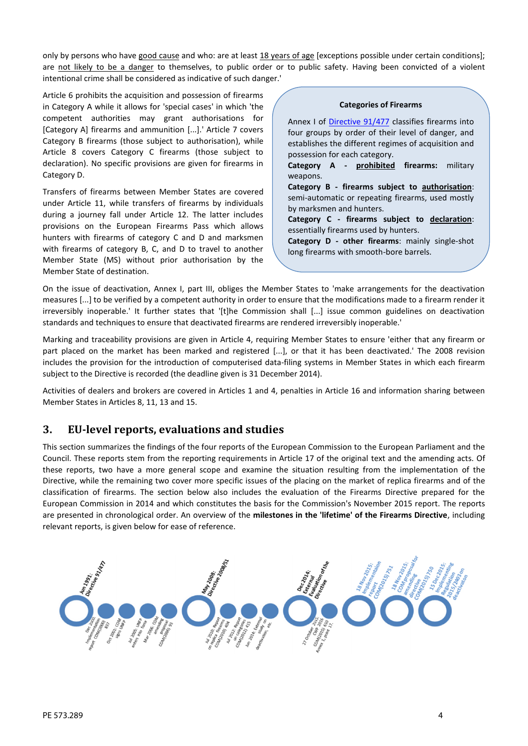only by persons who have good cause and who: are at least 18 years of age [exceptions possible under certain conditions]; are not likely to be a danger to themselves, to public order or to public safety. Having been convicted of a violent intentional crime shall be considered as indicative of such danger.'

Article 6 prohibits the acquisition and possession of firearms in Category A while it allows for 'special cases' in which 'the competent authorities may grant authorisations for [Category A] firearms and ammunition [...].'Article 7 covers Category B firearms (those subject to authorisation), while Article 8 covers Category C firearms (those subject to declaration). No specific provisions are given for firearms in Category D.

Transfers of firearms between Member States are covered under Article 11, while transfers of firearms by individuals during a journey fall under Article 12. The latter includes provisions on the European Firearms Pass which allows hunters with firearms of category C and D and marksmen with firearms of category B, C, and D to travel to another Member State (MS) without prior authorisation by the Member State of destination.

**Categories of Firearms**

Annex I of [Directive 91/477](http://eur-lex.europa.eu/legal-content/EN/TXT/?qid=1449145722979&uri=CELEX:31991L0477) classifies firearms into four groups by order of their level of danger, and establishes the different regimes of acquisition and possession for each category.

**Category A - prohibited firearms:** military weapons.

**Category B - firearms subject to authorisation**: semi-automatic or repeating firearms, used mostly by marksmen and hunters.

**Category C - firearms subject to declaration**: essentially firearms used by hunters.

**Category D - other firearms**: mainly single-shot long firearms with smooth-bore barrels.

On the issue of deactivation, Annex I, part III, obliges the Member States to 'make arrangements for the deactivation measures [...] to be verified by a competent authority in order to ensure that the modifications made to a firearm render it irreversibly inoperable.' It further states that '[t]he Commission shall [...] issue common guidelines on deactivation standards and techniques to ensure that deactivated firearms are rendered irreversibly inoperable.'

Marking and traceability provisions are given in Article 4, requiring Member States to ensure 'either that any firearm or part placed on the market has been marked and registered [...], or that it has been deactivated.' The 2008 revision includes the provision for the introduction of computerised data-filing systems in Member States in which each firearm subject to the Directive is recorded (the deadline given is 31 December 2014).

Activities of dealers and brokers are covered in Articles 1 and 4, penalties in Article 16 and information sharing between Member States in Articles 8, 11, 13 and 15.

# **3. EU-level reports, evaluations and studies**

This section summarizes the findings of the four reports of the European Commission to the European Parliament and the Council. These reports stem from the reporting requirements in Article 17 of the original text and the amending acts. Of these reports, two have a more general scope and examine the situation resulting from the implementation of the Directive, while the remaining two cover more specific issues of the placing on the market of replica firearms and of the classification of firearms. The section below also includes the evaluation of the Firearms Directive prepared for the European Commission in 2014 and which constitutes the basis for the Commission's November 2015 report. The reports are presented in chronological order. An overview of the **milestones in the 'lifetime' of the Firearms Directive**, including relevant reports, is given below for ease of reference.

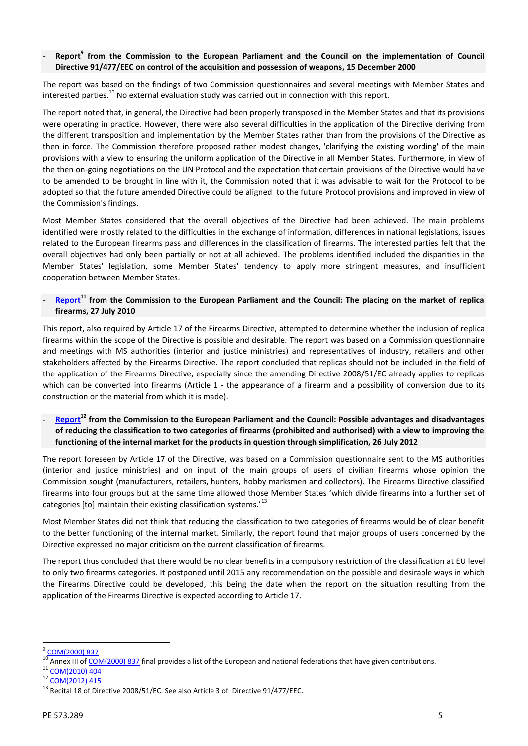### - **[Rep](http://eur-lex.europa.eu/legal-content/EN/TXT/?qid=1450201975006&uri=CELEX:52000DC0837)ort<sup>9</sup> from the Commission to the European Parliament and the Council on the implementation of Council Directive 91/477/EEC on control of the acquisition and possession of weapons, 15 December 2000**

The report was based on the findings of two Commission questionnaires and several meetings with Member States and interested parties.<sup>10</sup> No external evaluation study was carried out in connection with this report.

The report noted that, in general, the Directive had been properly transposed in the Member States and that its provisions were operating in practice. However, there were also several difficulties in the application of the Directive deriving from the different transposition and implementation by the Member States rather than from the provisions of the Directive as then in force. The Commission therefore proposed rather modest changes, 'clarifying the existing wording' of the main provisions with a view to ensuring the uniform application of the Directive in all Member States. Furthermore, in view of the then on-going negotiations on the UN Protocol and the expectation that certain provisions of the Directive would have to be amended to be brought in line with it, the Commission noted that it was advisable to wait for the Protocol to be adopted so that the future amended Directive could be aligned to the future Protocol provisions and improved in view of the Commission's findings.

Most Member States considered that the overall objectives of the Directive had been achieved. The main problems identified were mostly related to the difficulties in the exchange of information, differences in national legislations, issues related to the European firearms pass and differences in the classification of firearms. The interested parties felt that the overall objectives had only been partially or not at all achieved. The problems identified included the disparities in the Member States' legislation, some Member States' tendency to apply more stringent measures, and insufficient cooperation between Member States.

### [Rep](http://eur-lex.europa.eu/legal-content/EN/TXT/?qid=1450202185623&uri=CELEX:52010DC0404)ort<sup>11</sup> from the Commission to the European Parliament and the Council: The placing on the market of replica **firearms, 27 July 2010**

This report, also required by Article 17 of the Firearms Directive, attempted to determine whether the inclusion of replica firearms within the scope of the Directive is possible and desirable. The report was based on a Commission questionnaire and meetings with MS authorities (interior and justice ministries) and representatives of industry, retailers and other stakeholders affected by the Firearms Directive. The report concluded that replicas should not be included in the field of the application of the Firearms Directive, especially since the amending Directive 2008/51/EC already applies to replicas which can be converted into firearms (Article 1 - the appearance of a firearm and a possibility of conversion due to its construction or the material from which it is made).

## - **[Rep](http://eur-lex.europa.eu/legal-content/EN/TXT/?qid=1450202082121&uri=CELEX:52012DC0415)ort<sup>12</sup> from the Commission to the European Parliament and the Council: Possible advantages and disadvantages of reducing the classification to two categories of firearms (prohibited and authorised) with a view to improving the functioning of the internal market for the products in question through simplification, 26 July 2012**

The report foreseen by Article 17 of the Directive, was based on a Commission questionnaire sent to the MS authorities (interior and justice ministries) and on input of the main groups of users of civilian firearms whose opinion the Commission sought (manufacturers, retailers, hunters, hobby marksmen and collectors). The Firearms Directive classified firearms into four groups but at the same time allowed those Member States 'which divide firearms into a further set of categories [to] maintain their existing classification systems.<sup>13</sup>

Most Member States did not think that reducing the classification to two categories of firearms would be of clear benefit to the better functioning of the internal market. Similarly, the report found that major groups of users concerned by the Directive expressed no major criticism on the current classification of firearms.

The report thus concluded that there would be no clear benefits in a compulsory restriction of the classification at EU level to only two firearms categories. It postponed until 2015 any recommendation on the possible and desirable ways in which the Firearms Directive could be developed, this being the date when the report on the situation resulting from the application of the Firearms Directive is expected according to Article 17.

 $\frac{9}{10}$  [COM\(2000\) 837](http://eur-lex.europa.eu/legal-content/EN/TXT/?qid=1450201975006&uri=CELEX:52000DC0837)

<sup>&</sup>lt;sup>10</sup> Annex III of [COM\(2000\) 837](http://eur-lex.europa.eu/legal-content/EN/TXT/?qid=1450201975006&uri=CELEX:52000DC0837) final provides a list of the European and national federations that have given contributions.<br><sup>11</sup> [COM\(2010\) 404](http://eur-lex.europa.eu/legal-content/EN/TXT/?qid=1450202185623&uri=CELEX:52010DC0404)

<sup>12</sup> [COM\(2012\) 415](http://eur-lex.europa.eu/legal-content/EN/TXT/?qid=1450202082121&uri=CELEX:52012DC0415)

<sup>&</sup>lt;sup>13</sup> Recital 18 of Directive 2008/51/EC. See also Article 3 of Directive 91/477/EEC.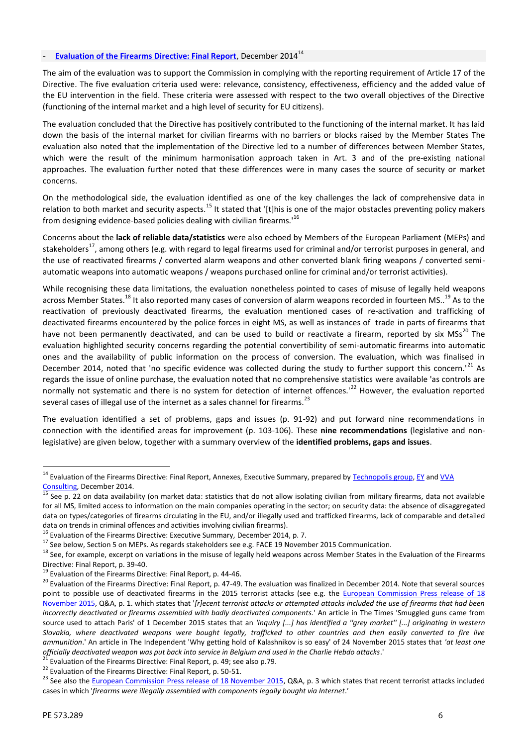### **[Evaluation of the Firearms Directive: Final Rep](http://ec.europa.eu/growth/sectors/defence/defence-firearms-directives/index_en.htm)ort**, December 2014<sup>14</sup>

The aim of the evaluation was to support the Commission in complying with the reporting requirement of Article 17 of the Directive. The five evaluation criteria used were: relevance, consistency, effectiveness, efficiency and the added value of the EU intervention in the field. These criteria were assessed with respect to the two overall objectives of the Directive (functioning of the internal market and a high level of security for EU citizens).

The evaluation concluded that the Directive has positively contributed to the functioning of the internal market. It has laid down the basis of the internal market for civilian firearms with no barriers or blocks raised by the Member States The evaluation also noted that the implementation of the Directive led to a number of differences between Member States, which were the result of the minimum harmonisation approach taken in Art. 3 and of the pre-existing national approaches. The evaluation further noted that these differences were in many cases the source of security or market concerns.

On the methodological side, the evaluation identified as one of the key challenges the lack of comprehensive data in relation to both market and security aspects.<sup>15</sup> It stated that '[t]his is one of the major obstacles preventing policy makers from designing evidence-based policies dealing with civilian firearms.'<sup>16</sup>

Concerns about the **lack of reliable data/statistics** were also echoed by Members of the European Parliament (MEPs) and stakeholders<sup>17</sup>, among others (e.g. with regard to legal firearms used for criminal and/or terrorist purposes in general, and the use of reactivated firearms / converted alarm weapons and other converted blank firing weapons / converted semi automatic weapons into automatic weapons / weapons purchased online for criminal and/or terrorist activities).

While recognising these data limitations, the evaluation nonetheless pointed to cases of misuse of legally held weapons across Member States.<sup>18</sup> It also reported many cases of conversion of alarm weapons recorded in fourteen MS..<sup>19</sup> As to the reactivation of previously deactivated firearms, the evaluation mentioned cases of re-activation and trafficking of deactivated firearms encountered by the police forces in eight MS, as well as instances of trade in parts of firearms that have not been permanently deactivated, and can be used to build or reactivate a firearm, reported by six MSs<sup>20</sup> The evaluation highlighted security concerns regarding the potential convertibility of semi-automatic firearms into automatic ones and the availability of public information on the process of conversion. The evaluation, which was finalised in December 2014, noted that 'no specific evidence was collected during the study to further support this concern.<sup>'21</sup> As regards the issue of online purchase, the evaluation noted that no comprehensive statistics were available 'as controls are normally not systematic and there is no system for detection of internet offences.<sup>122</sup> However, the evaluation reported several cases of illegal use of the internet as a sales channel for firearms.<sup>23</sup>

The evaluation identified a set of problems, gaps and issues (p. 91-92) and put forward nine recommendations in connection with the identified areas for improvement (p. 103-106). These **nine recommendations** (legislative and nonlegislative) are given below, together with a summary overview of the **identified problems, gaps and issues**.

<sup>&</sup>lt;sup>14</sup> Evaluation of the Firearms Directive: Final Report, Annexes, Executive Summary, prepared by [Technopolis group,](http://www.technopolis-group.com/) [EY](http://www.ey.com/GL/en/Issues/Business-environment/building-a-better-working-world) and [VVA](http://www.vva.it/en)

[Consulting,](http://www.vva.it/en) December 2014.<br><sup>15</sup> See p. 22 on data availability (on market data: statistics that do not allow isolating civilian from military firearms, data not available for all MS, limited access to information on the main companies operating in the sector; on security data: the absence of disaggregated data on types/categories of firearms circulating in the EU, and/or illegally used and trafficked firearms, lack of comparable and detailed

data on trends in criminal offences and activities involving civilian firearms).<br><sup>16</sup> Evaluation of the Firearms Directive: Executive Summary, December 2014, p. 7.<br><sup>17</sup> See below, Section 5 on MEPs. As regards stakeholder

Directive: Final Report, p. 39-40.<br><sup>19</sup> Evaluation of the Firearms Directive: Final Report, p. 44-46.<br><sup>20</sup> Evaluation of the Firearms Directive: Final Report, p. 47-49. The evaluation was finalized in December 2014. Note point to possible use of deactivated firearms in the 2015 terrorist attacks (see e.g. the [European Commission Press release of 18](http://europa.eu/rapid/press-release_IP-15-6110_en.htm) [November 2015,](http://europa.eu/rapid/press-release_IP-15-6110_en.htm) Q&A, p. 1. which states that '*[r]ecent terrorist attacks or attempted attacks included the use of firearms that had been incorrectly deactivated or firearms assembled with badly deactivated components.*' An article in The Times 'Smuggled guns came from source used to attach Paris' of 1 December 2015 states that an *'inquiry [...] has identified a ''grey market'' [...] originating in western Slovakia, where deactivated weapons were bought legally, trafficked to other countries and then easily converted to fire live ammunition*.' An article in The Independent 'Why getting hold of Kalashnikov is so easy' of 24 November 2015 states that *'at least one*<br>*officially deactivated weapon was put back into service in Belgium and used in the* 

<sup>&</sup>lt;sup>21</sup> Evaluation of the Firearms Directive: Final Report, p. 49; see also p.79.<br><sup>22</sup> Evaluation of the Firearms Directive: Final Report, p. 50-51.<br><sup>23</sup> See also the [European Commission Press release of 18 November 2015](http://europa.eu/rapid/press-release_IP-15-6110_en.htm), Q& cases in which '*firearms were illegally assembled with components legally bought via Internet*.'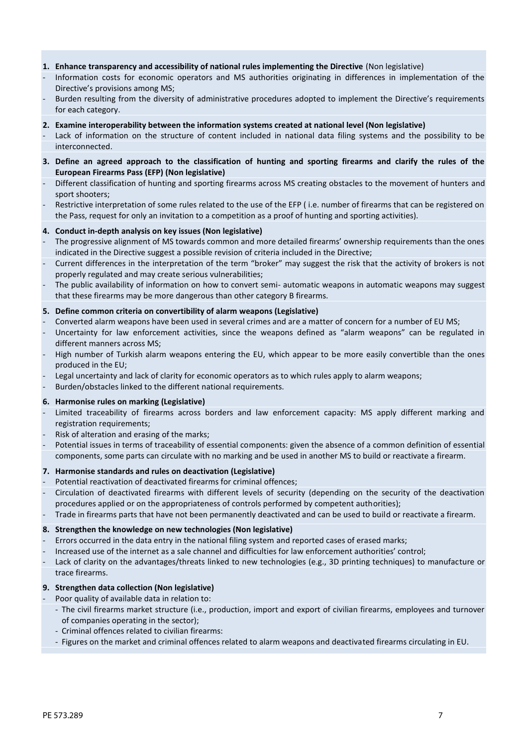### **1. Enhance transparency and accessibility of national rules implementing the Directive** (Non legislative)

- Information costs for economic operators and MS authorities originating in differences in implementation of the Directive's provisions among MS;
- Burden resulting from the diversity of administrative procedures adopted to implement the Directive's requirements for each category.

#### **2. Examine interoperability between the information systems created at national level (Non legislative)**

- Lack of information on the structure of content included in national data filing systems and the possibility to be interconnected.
- **3. Define an agreed approach to the classification of hunting and sporting firearms and clarify the rules of the European Firearms Pass (EFP) (Non legislative)**
- Different classification of hunting and sporting firearms across MS creating obstacles to the movement of hunters and sport shooters;
- Restrictive interpretation of some rules related to the use of the EFP (i.e. number of firearms that can be registered on the Pass, request for only an invitation to a competition as a proof of hunting and sporting activities).

#### **4. Conduct in-depth analysis on key issues (Non legislative)**

- The progressive alignment of MS towards common and more detailed firearms' ownership requirements than the ones indicated in the Directive suggest a possible revision of criteria included in the Directive;
- Current differences in the interpretation of the term "broker" may suggest the risk that the activity of brokers is not properly regulated and may create serious vulnerabilities;
- The public availability of information on how to convert semi- automatic weapons in automatic weapons may suggest that these firearms may be more dangerous than other category B firearms.

#### **5. Define common criteria on convertibility of alarm weapons (Legislative)**

- Converted alarm weapons have been used in several crimes and are a matter of concern for a number of EU MS;
- Uncertainty for law enforcement activities, since the weapons defined as "alarm weapons" can be regulated in different manners across MS;
- High number of Turkish alarm weapons entering the EU, which appear to be more easily convertible than the ones produced in the EU;
- Legal uncertainty and lack of clarity for economic operators as to which rules apply to alarm weapons;
- Burden/obstacles linked to the different national requirements.

#### **6. Harmonise rules on marking (Legislative)**

- Limited traceability of firearms across borders and law enforcement capacity: MS apply different marking and registration requirements;
- Risk of alteration and erasing of the marks;
- Potential issues in terms of traceability of essential components: given the absence of a common definition of essential components, some parts can circulate with no marking and be used in another MS to build or reactivate a firearm.

### **7. Harmonise standards and rules on deactivation (Legislative)**

- Potential reactivation of deactivated firearms for criminal offences;
- Circulation of deactivated firearms with different levels of security (depending on the security of the deactivation procedures applied or on the appropriateness of controls performed by competent authorities);
- Trade in firearms parts that have not been permanently deactivated and can be used to build or reactivate a firearm.

### **8. Strengthen the knowledge on new technologies (Non legislative)**

- Errors occurred in the data entry in the national filing system and reported cases of erased marks;
- Increased use of the internet as a sale channel and difficulties for law enforcement authorities' control;
- Lack of clarity on the advantages/threats linked to new technologies (e.g., 3D printing techniques) to manufacture or trace firearms.

### **9. Strengthen data collection (Non legislative)**

- Poor quality of available data in relation to:
	- The civil firearms market structure (i.e., production, import and export of civilian firearms, employees and turnover of companies operating in the sector);
	- Criminal offences related to civilian firearms:
	- Figures on the market and criminal offences related to alarm weapons and deactivated firearms circulating in EU.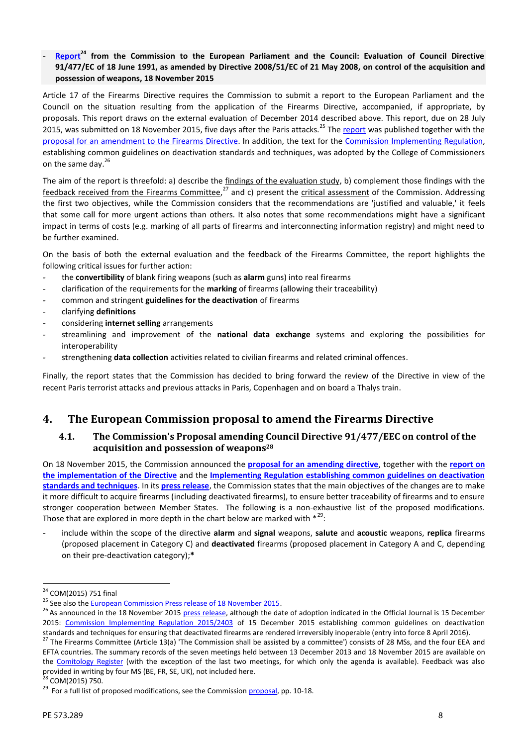### - **[Rep](http://eur-lex.europa.eu/legal-content/EN/TXT/?qid=1450199932638&uri=CELEX:52015DC0751)ort<sup>24</sup> from the Commission to the European Parliament and the Council: Evaluation of Council Directive 91/477/EC of 18 June 1991, as amended by Directive 2008/51/EC of 21 May 2008, on control of the acquisition and possession of weapons, 18 November 2015**

Article 17 of the Firearms Directive requires the Commission to submit a report to the European Parliament and the Council on the situation resulting from the application of the Firearms Directive, accompanied, if appropriate, by proposals. This report draws on the external evaluation of December 2014 described above. This report, due on 28 July 2015, was submitted on 18 November 2015, five days after the Paris attacks.<sup>25</sup> The r[eport](http://eur-lex.europa.eu/legal-content/EN/TXT/?qid=1450199932638&uri=CELEX:52015DC0751) was published together with the proposal for an amendment to [the Firearms Directive.](http://eur-lex.europa.eu/legal-content/EN/TXT/?uri=COM%3A2015%3A750%3AFIN) In addition, the text for the Commission [Implementing](http://eur-lex.europa.eu/legal-content/EN/TXT/PDF/?uri=CELEX:32015R2403&qid=1452176160698&from=EN) Regulation, establishing common guidelines on deactivation standards and techniques, was adopted by the College of Commissioners on the same day.<sup>26</sup>

The aim of the report is threefold: a) describe the findings of the evaluation study, b) complement those findings with the feedback received from the Firearms Committee,<sup>27</sup> and c) present the critical assessment of the Commission. Addressing the first two objectives, while the Commission considers that the recommendations are 'justified and valuable,' it feels that some call for more urgent actions than others. It also notes that some recommendations might have a significant impact in terms of costs (e.g. marking of all parts of firearms and interconnecting information registry) and might need to be further examined.

On the basis of both the external evaluation and the feedback of the Firearms Committee, the report highlights the following critical issues for further action:

- the **convertibility** of blank firing weapons (such as **alarm** guns) into real firearms
- clarification of the requirements for the **marking** of firearms (allowing their traceability)
- common and stringent **guidelines for the deactivation** of firearms
- clarifying **definitions**
- considering **internet selling** arrangements
- streamlining and improvement of the **national data exchange** systems and exploring the possibilities for interoperability
- strengthening **data collection** activities related to civilian firearms and related criminal offences.

Finally, the report states that the Commission has decided to bring forward the review of the Directive in view of the recent Paris terrorist attacks and previous attacks in Paris, Copenhagen and on board a Thalys train.

# **4. The European Commission proposal to amend the Firearms Directive**

# **4.1. The Comm[ission's](http://eur-lex.europa.eu/legal-content/EN/TXT/?uri=COM%3A2015%3A750%3AFIN) Proposal amending Council Directive 91/477/EEC on control of the acquisition and possession of weapons<sup>28</sup>**

On 18 November 2015, the Commission announced the **[proposal for an amending directive](http://eur-lex.europa.eu/legal-content/EN/TXT/?uri=COM%3A2015%3A750%3AFIN)**, together with the **[report on](http://eur-lex.europa.eu/legal-content/EN/TXT/?qid=1452093479647&uri=CELEX:52015DC0751) [the implementation of the](http://eur-lex.europa.eu/legal-content/EN/TXT/?qid=1452093479647&uri=CELEX:52015DC0751) Directive** and the **Implementing [Regulation establishing common guidelines on deactivation](http://eur-lex.europa.eu/legal-content/EN/TXT/?qid=1452176160698&uri=CELEX:32015R2403) [standards and techniques](http://eur-lex.europa.eu/legal-content/EN/TXT/?qid=1452176160698&uri=CELEX:32015R2403)**. In its **[press release](http://europa.eu/rapid/press-release_IP-15-6110_en.htm)**, the Commission states that the main objectives of the changes are to make it more difficult to acquire firearms (including deactivated firearms), to ensure better traceability of firearms and to ensure stronger cooperation between Member States. The following is a non-exhaustive list of the proposed modifications. Those that are explored in more depth in the chart below are marked with  $*^{29}$ :

- include within the scope of the directive **alarm** and **signal** weapons, **salute** and **acoustic** weapons, **replica** firearms (proposed placement in Category C) and **deactivated** firearms (proposed placement in Category A and C, depending on their pre-deactivation category);**\***

<sup>&</sup>lt;sup>24</sup> COM(2015) 751 final<br><sup>25</sup> See also the <u>European Commission Press release of 18 November 2015</u>.<br><sup>25</sup> As announced in the 18 November 2015 <u>press release</u>, although the date of adoption indicated in the Official Journal 2015: [Commission Implementing Regulation 2015/2403](http://eur-lex.europa.eu/legal-content/EN/TXT/?qid=1451574570495&uri=CELEX:32015R2403) of 15 December 2015 establishing common guidelines on deactivation standards and techniques for ensuring that deactivated firearms are rendered irreversibly inoperable (entry into force 8 April 2016).<br><sup>27</sup> The Firearms Committee (Article 13(a) 'The Commission shall be assisted by a commi

EFTA countries. The summary records of the seven meetings held between 13 December 2013 and 18 November 2015 are available on the [Comitology Register](http://ec.europa.eu/transparency/regcomitology/index.cfm?do=search.result) (with the exception of the last two meetings, for which only the agenda is available). Feedback was also provided in writing by four MS (BE, FR, SE, UK), not included here.<br><sup>28</sup> COM(2015) 750.<br><sup>29</sup> For a full list of proposed modifications, see the Commission p[roposal, p](http://eur-lex.europa.eu/legal-content/EN/TXT/?uri=COM%3A2015%3A750%3AFIN)p. 10-18.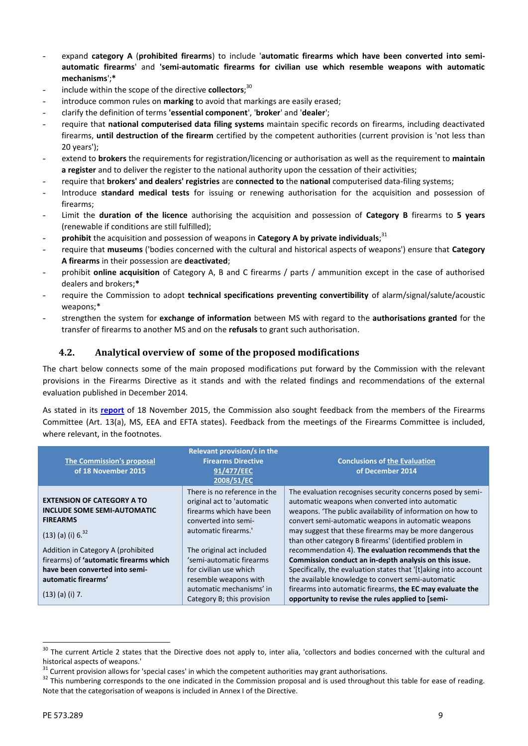- expand **category A** (**prohibited firearms**) to include '**automatic firearms which have been converted into semi automatic firearms**' and **'semi-automatic firearms for civilian use which resemble weapons with automatic mechanisms**';**\***
- include within the scope of the directive **collectors**;<sup>30</sup>
- introduce common rules on **marking** to avoid that markings are easily erased;
- clarify the definition of terms **'essential component**', '**broker**' and '**dealer**';
- require that **national computerised data filing systems** maintain specific records on firearms, including deactivated firearms, **until destruction of the firearm** certified by the competent authorities (current provision is 'not less than 20 years');
- extend to **brokers** the requirements for registration/licencing or authorisation as well as the requirement to **maintain a register** and to deliver the register to the national authority upon the cessation of their activities;
- require that **brokers' and dealers' registries** are **connected to** the **national** computerised data-filing systems;
- Introduce **standard medical tests** for issuing or renewing authorisation for the acquisition and possession of firearms;
- Limit the **duration of the licence** authorising the acquisition and possession of **Category B** firearms to **5 years** (renewable if conditions are still fulfilled);
- prohibit the acquisition and possession of weapons in Category A by private individuals;<sup>31</sup>
- require that **museums** ('bodies concerned with the cultural and historical aspects of weapons') ensure that **Category A firearms** in their possession are **deactivated**;
- prohibit **online acquisition** of Category A, B and C firearms / parts / ammunition except in the case of authorised dealers and brokers;**\***
- require the Commission to adopt **technical specifications preventing convertibility** of alarm/signal/salute/acoustic weapons;\*
- strengthen the system for **exchange of information** between MS with regard to the **authorisations granted** for the transfer of firearms to another MS and on the **refusals** to grant such authorisation.

### **4.2. Analytical overview of some of the proposed modifications**

The chart below connects some of the main proposed modifications put forward by the Commission with the relevant provisions in the Firearms Directive as it stands and with the related findings and recommendations of the external evaluation published in December 2014.

As stated in its **[report](http://eur-lex.europa.eu/legal-content/EN/TXT/?qid=1452093479647&uri=CELEX:52015DC0751)** of 18 November 2015, the Commission also sought feedback from the members of the Firearms Committee (Art. 13(a), MS, EEA and EFTA states). Feedback from the meetings of the Firearms Committee is included, where relevant, in the footnotes.

| The Commission's proposal<br>of 18 November 2015                                           | Relevant provision/s in the<br><b>Firearms Directive</b><br>91/477/EEC<br>2008/51/EC                           | <b>Conclusions of the Evaluation</b><br>of December 2014                                                                                                                                                                           |
|--------------------------------------------------------------------------------------------|----------------------------------------------------------------------------------------------------------------|------------------------------------------------------------------------------------------------------------------------------------------------------------------------------------------------------------------------------------|
| <b>EXTENSION OF CATEGORY A TO</b><br><b>INCLUDE SOME SEMI-AUTOMATIC</b><br><b>FIREARMS</b> | There is no reference in the<br>original act to 'automatic<br>firearms which have been<br>converted into semi- | The evaluation recognises security concerns posed by semi-<br>automatic weapons when converted into automatic<br>weapons. 'The public availability of information on how to<br>convert semi-automatic weapons in automatic weapons |
| $(13)$ (a) (i) 6. <sup>32</sup>                                                            | automatic firearms.'                                                                                           | may suggest that these firearms may be more dangerous<br>than other category B firearms' (identified problem in                                                                                                                    |
| Addition in Category A (prohibited<br>firearms) of 'automatic firearms which               | The original act included<br>'semi-automatic firearms                                                          | recommendation 4). The evaluation recommends that the<br>Commission conduct an in-depth analysis on this issue.                                                                                                                    |
| have been converted into semi-<br>automatic firearms'                                      | for civilian use which<br>resemble weapons with                                                                | Specifically, the evaluation states that '[t] aking into account<br>the available knowledge to convert semi-automatic                                                                                                              |
| $(13)$ (a) (i) 7.                                                                          | automatic mechanisms' in<br>Category B; this provision                                                         | firearms into automatic firearms, the EC may evaluate the<br>opportunity to revise the rules applied to [semi-                                                                                                                     |

<sup>&</sup>lt;sup>30</sup> The current Article 2 states that the Directive does not apply to, inter alia, 'collectors and bodies concerned with the cultural and

historical aspects of weapons.'<br><sup>31</sup> Current provision allows for 'special cases' in which the competent authorities may grant authorisations.<br><sup>32</sup> This numbering corresponds to the one indicated in the Commission proposal Note that the categorisation of weapons is included in Annex I of the Directive.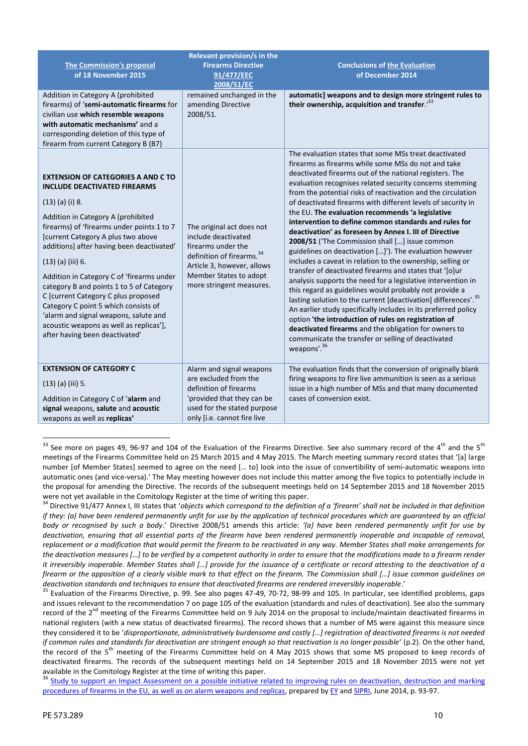|                                            | Relevant provision/s in the           |                                                                                                                       |
|--------------------------------------------|---------------------------------------|-----------------------------------------------------------------------------------------------------------------------|
| <b>The Commission's proposal</b>           | <b>Firearms Directive</b>             | <b>Conclusions of the Evaluation</b>                                                                                  |
| of 18 November 2015                        | 91/477/EEC<br>2008/51/EC              | of December 2014                                                                                                      |
| Addition in Category A (prohibited         | remained unchanged in the             | automatic] weapons and to design more stringent rules to                                                              |
| firearms) of 'semi-automatic firearms for  | amending Directive                    | their ownership, acquisition and transfer. <sup>133</sup>                                                             |
| civilian use which resemble weapons        | 2008/51.                              |                                                                                                                       |
| with automatic mechanisms' and a           |                                       |                                                                                                                       |
| corresponding deletion of this type of     |                                       |                                                                                                                       |
| firearm from current Category B (B7)       |                                       |                                                                                                                       |
|                                            |                                       | The evaluation states that some MSs treat deactivated                                                                 |
|                                            |                                       | firearms as firearms while some MSs do not and take                                                                   |
| <b>EXTENSION OF CATEGORIES A AND C TO</b>  |                                       | deactivated firearms out of the national registers. The                                                               |
| <b>INCLUDE DEACTIVATED FIREARMS</b>        |                                       | evaluation recognises related security concerns stemming                                                              |
|                                            |                                       | from the potential risks of reactivation and the circulation                                                          |
| $(13)$ (a) (i) 8.                          |                                       | of deactivated firearms with different levels of security in                                                          |
| Addition in Category A (prohibited         |                                       | the EU. The evaluation recommends 'a legislative                                                                      |
| firearms) of 'firearms under points 1 to 7 | The original act does not             | intervention to define common standards and rules for                                                                 |
| [current Category A plus two above         | include deactivated                   | deactivation' as foreseen by Annex I. III of Directive                                                                |
| additions] after having been deactivated'  | firearms under the                    | 2008/51 ('The Commission shall [] issue common                                                                        |
|                                            | definition of firearms. <sup>34</sup> | guidelines on deactivation []'). The evaluation however                                                               |
| $(13)$ (a) (iii) 6.                        | Article 3, however, allows            | includes a caveat in relation to the ownership, selling or<br>transfer of deactivated firearms and states that '[o]ur |
| Addition in Category C of 'firearms under  | Member States to adopt                | analysis supports the need for a legislative intervention in                                                          |
| category B and points 1 to 5 of Category   | more stringent measures.              | this regard as guidelines would probably not provide a                                                                |
| C [current Category C plus proposed        |                                       | lasting solution to the current [deactivation] differences'. <sup>35</sup>                                            |
| Category C point 5 which consists of       |                                       | An earlier study specifically includes in its preferred policy                                                        |
| 'alarm and signal weapons, salute and      |                                       | option 'the introduction of rules on registration of                                                                  |
| acoustic weapons as well as replicas'],    |                                       | deactivated firearms and the obligation for owners to                                                                 |
| after having been deactivated'             |                                       | communicate the transfer or selling of deactivated                                                                    |
|                                            |                                       | weapons'. <sup>36</sup>                                                                                               |
|                                            |                                       |                                                                                                                       |
| <b>EXTENSION OF CATEGORY C</b>             | Alarm and signal weapons              | The evaluation finds that the conversion of originally blank                                                          |
| $(13)$ (a) (iii) 5.                        | are excluded from the                 | firing weapons to fire live ammunition is seen as a serious                                                           |
|                                            | definition of firearms                | issue in a high number of MSs and that many documented                                                                |
| Addition in Category C of 'alarm and       | 'provided that they can be            | cases of conversion exist.                                                                                            |
| signal weapons, salute and acoustic        | used for the stated purpose           |                                                                                                                       |
| weapons as well as replicas'               | only [i.e. cannot fire live           |                                                                                                                       |

 $33$  See more on pages 49, 96-97 and 104 of the Evaluation of the Firearms Directive. See also summary record of the 4<sup>th</sup> and the 5<sup>th</sup> meetings of the Firearms Committee held on 25 March 2015 and 4 May 2015. The March meeting summary record states that '[a] large number [of Member States] seemed to agree on the need [… to] look into the issue of convertibility of semi-automatic weapons into automatic ones (and vice-versa).' The May meeting however does not include this matter among the five topics to potentially include in the proposal for amending the Directive. The records of the subsequent meetings held on 14 September 2015 and 18 November 2015 were not yet available in the Comitology Register at the time of writing this paper.<br><sup>34</sup> Directive 91/477 Annex I, III states that 'objects which correspond to the definition of a 'firearm' shall not be included in that d

*if they: (a) have been rendered permanently unfit for use by the application of technical procedures which are guaranteed by an official body or recognised by such a body*.' Directive 2008/51 amends this article: *'(a) have been rendered permanently unfit for use by deactivation, ensuring that all essential parts of the firearm have been rendered permanently inoperable and incapable of removal, replacement or a modification that would permit the firearm to be reactivated in any way. Member States shall make arrangements for the deactivation measures […] to be verified by a competent authority in order to ensure that the modifications made to a firearm render it irreversibly inoperable. Member States shall […] provide for the issuance of a certificate or record attesting to the deactivation of a firearm or the apposition of a clearly visible mark to that effect on the firearm. The Commission shall […] issue common guidelines on*

deactivation standards and techniques to ensure that deactivated firearms are rendered irreversibly inoperable.'<br><sup>35</sup> Evaluation of the Firearms Directive, p. 99. See also pages 47-49, 70-72, 98-99 and 105. In particular, and issues relevant to the recommendation 7 on page 105 of the evaluation (standards and rules of deactivation). See also the summary record of the  $2^{nd}$  meeting of the Firearms Committee held on 9 July 2014 on the proposal to include/maintain deactivated firearms in national registers (with a new status of deactivated firearms). The record shows that a number of MS were against this measure since they considered it to be '*disproportionate, administratively burdensome and costly […] registration of deactivated firearms is not needed if common rules and standards for deactivation are stringent enough so that reactivation is no longer possible'* (p.2). On the other hand, the record of the 5<sup>th</sup> meeting of the Firearms Committee held on 4 May 2015 shows that some MS proposed to keep records of deactivated firearms. The records of the subsequent meetings held on 14 September 2015 and 18 November 2015 were not yet available in the Comitology Register at the time of writing this paper.<br><sup>36</sup> [Study to support an Impact Assessment on a possible initiative related to improving rules on deactivation, destruction and marking](http://www.sipri.org/research/security/europe/publications/study-on-firearms)

[procedures of firearms in the EU, as well as on alarm weapons and replicas,](http://www.sipri.org/research/security/europe/publications/study-on-firearms) prepared by [EY](http://www.ey.com/GL/en/Issues/Business-environment/building-a-better-working-world) and [SIPRI,](http://www.sipri.org/) June 2014, p. 93-97.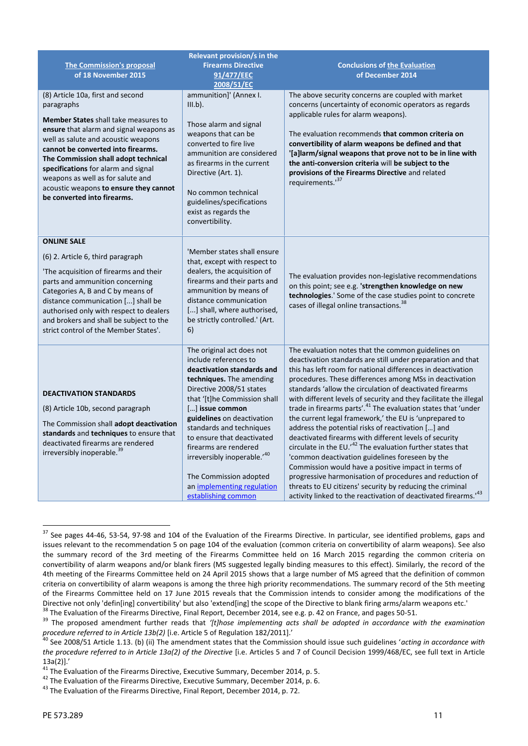|                                                                                                                                                                                                                                                                                                                                                                                                                     | Relevant provision/s in the                                                                                                                                                                                                                                                                      |                                                                                                                                                                                                                                                                                                                                                                                                                                                                          |
|---------------------------------------------------------------------------------------------------------------------------------------------------------------------------------------------------------------------------------------------------------------------------------------------------------------------------------------------------------------------------------------------------------------------|--------------------------------------------------------------------------------------------------------------------------------------------------------------------------------------------------------------------------------------------------------------------------------------------------|--------------------------------------------------------------------------------------------------------------------------------------------------------------------------------------------------------------------------------------------------------------------------------------------------------------------------------------------------------------------------------------------------------------------------------------------------------------------------|
| <b>The Commission's proposal</b>                                                                                                                                                                                                                                                                                                                                                                                    | <b>Firearms Directive</b>                                                                                                                                                                                                                                                                        | <b>Conclusions of the Evaluation</b>                                                                                                                                                                                                                                                                                                                                                                                                                                     |
| of 18 November 2015                                                                                                                                                                                                                                                                                                                                                                                                 | 91/477/EEC<br>2008/51/EC                                                                                                                                                                                                                                                                         | of December 2014                                                                                                                                                                                                                                                                                                                                                                                                                                                         |
| (8) Article 10a, first and second<br>paragraphs<br><b>Member States</b> shall take measures to<br>ensure that alarm and signal weapons as<br>well as salute and acoustic weapons<br>cannot be converted into firearms.<br>The Commission shall adopt technical<br>specifications for alarm and signal<br>weapons as well as for salute and<br>acoustic weapons to ensure they cannot<br>be converted into firearms. | ammunition]' (Annex I.<br>$III.b$ ).<br>Those alarm and signal<br>weapons that can be<br>converted to fire live<br>ammunition are considered<br>as firearms in the current<br>Directive (Art. 1).<br>No common technical<br>guidelines/specifications<br>exist as regards the<br>convertibility. | The above security concerns are coupled with market<br>concerns (uncertainty of economic operators as regards<br>applicable rules for alarm weapons).<br>The evaluation recommends that common criteria on<br>convertibility of alarm weapons be defined and that<br>'[a]larm/signal weapons that prove not to be in line with<br>the anti-conversion criteria will be subject to the<br>provisions of the Firearms Directive and related<br>requirements. <sup>37</sup> |
| <b>ONLINE SALE</b>                                                                                                                                                                                                                                                                                                                                                                                                  |                                                                                                                                                                                                                                                                                                  |                                                                                                                                                                                                                                                                                                                                                                                                                                                                          |
| (6) 2. Article 6, third paragraph                                                                                                                                                                                                                                                                                                                                                                                   | 'Member states shall ensure<br>that, except with respect to                                                                                                                                                                                                                                      |                                                                                                                                                                                                                                                                                                                                                                                                                                                                          |
| 'The acquisition of firearms and their<br>parts and ammunition concerning<br>Categories A, B and C by means of<br>distance communication [] shall be<br>authorised only with respect to dealers<br>and brokers and shall be subject to the<br>strict control of the Member States'.                                                                                                                                 | dealers, the acquisition of<br>firearms and their parts and<br>ammunition by means of<br>distance communication<br>[] shall, where authorised,<br>be strictly controlled.' (Art.<br>6)                                                                                                           | The evaluation provides non-legislative recommendations<br>on this point; see e.g. 'strengthen knowledge on new<br>technologies.' Some of the case studies point to concrete<br>cases of illegal online transactions. <sup>38</sup>                                                                                                                                                                                                                                      |
|                                                                                                                                                                                                                                                                                                                                                                                                                     | The original act does not<br>include references to<br>deactivation standards and<br>techniques. The amending                                                                                                                                                                                     | The evaluation notes that the common guidelines on<br>deactivation standards are still under preparation and that<br>this has left room for national differences in deactivation<br>procedures. These differences among MSs in deactivation                                                                                                                                                                                                                              |
| <b>DEACTIVATION STANDARDS</b>                                                                                                                                                                                                                                                                                                                                                                                       | Directive 2008/51 states<br>that '[t]he Commission shall                                                                                                                                                                                                                                         | standards 'allow the circulation of deactivated firearms<br>with different levels of security and they facilitate the illegal                                                                                                                                                                                                                                                                                                                                            |
| (8) Article 10b, second paragraph                                                                                                                                                                                                                                                                                                                                                                                   | [] issue common<br>guidelines on deactivation                                                                                                                                                                                                                                                    | trade in firearms parts'. <sup>41</sup> The evaluation states that 'under<br>the current legal framework,' the EU is 'unprepared to                                                                                                                                                                                                                                                                                                                                      |
| The Commission shall adopt deactivation<br>standards and techniques<br>standards and techniques to ensure that<br>to ensure that deactivated<br>deactivated firearms are rendered<br>firearms are rendered<br>irreversibly inoperable. <sup>39</sup><br>irreversibly inoperable.'40                                                                                                                                 | address the potential risks of reactivation [] and<br>deactivated firearms with different levels of security<br>circulate in the EU. <sup>12</sup> The evaluation further states that<br>'common deactivation guidelines foreseen by the<br>Commission would have a positive impact in terms of  |                                                                                                                                                                                                                                                                                                                                                                                                                                                                          |
|                                                                                                                                                                                                                                                                                                                                                                                                                     | The Commission adopted<br>an implementing regulation<br>establishing common                                                                                                                                                                                                                      | progressive harmonisation of procedures and reduction of<br>threats to EU citizens' security by reducing the criminal<br>activity linked to the reactivation of deactivated firearms. <sup>143</sup>                                                                                                                                                                                                                                                                     |

<sup>&</sup>lt;sup>37</sup> See pages 44-46, 53-54, 97-98 and 104 of the Evaluation of the Firearms Directive. In particular, see identified problems, gaps and issues relevant to the recommendation 5 on page 104 of the evaluation (common criteria on convertibility of alarm weapons). See also the summary record of the 3rd meeting of the Firearms Committee held on 16 March 2015 regarding the common criteria on convertibility of alarm weapons and/or blank firers (MS suggested legally binding measures to this effect). Similarly, the record of the 4th meeting of the Firearms Committee held on 24 April 2015 shows that a large number of MS agreed that the definition of common criteria on convertibility of alarm weapons is among the three high priority recommendations. The summary record of the 5th meeting of the Firearms Committee held on 17 June 2015 reveals that the Commission intends to consider among the modifications of the Directive not only 'defin[ing] convertibility' but also 'extend[ing] the scope of the Directive to blank firing arms/alarm weapons etc.'<br><sup>38</sup> The Evaluation of the Firearms Directive, Final Report, December 2014, see e.g.

procedure referred to in Article 13b(2) [i.e. Article 5 of Regulation 182/2011].'<br><sup>40</sup> See 2008/51 Article 1.13. (b) (ii) The amendment states that the Commission should issue such guidelines 'acting in accordance with

*the procedure referred to in Article 13a(2) of the Directive* [i.e. Articles 5 and 7 of Council Decision 1999/468/EC, see full text in Article 13a(2)].'<br>
<sup>41</sup> The Evaluation of the Firearms Directive, Executive Summary, December 2014, p. 5.<br>
<sup>42</sup> The Evaluation of the Firearms Directive, Executive Summary, December 2014, p. 6.<br>
<sup>43</sup> The Evaluation of the Firearm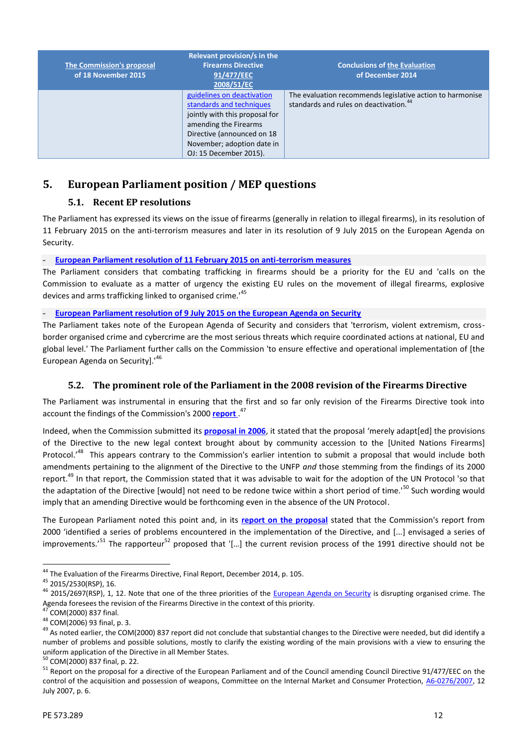| The Commission's proposal<br>of 18 November 2015 | <b>Relevant provision/s in the</b><br><b>Firearms Directive</b><br>91/477/EEC<br>2008/51/EC                                                                                                             | <b>Conclusions of the Evaluation</b><br>of December 2014                                                        |
|--------------------------------------------------|---------------------------------------------------------------------------------------------------------------------------------------------------------------------------------------------------------|-----------------------------------------------------------------------------------------------------------------|
|                                                  | guidelines on deactivation<br>standards and techniques<br>jointly with this proposal for<br>amending the Firearms<br>Directive (announced on 18<br>November; adoption date in<br>OJ: 15 December 2015). | The evaluation recommends legislative action to harmonise<br>standards and rules on deactivation. <sup>44</sup> |

# **5. European Parliament position / MEP questions**

# **5.1. Recent EP resolutions**

The Parliament has expressed its views on the issue of firearms (generally in relation to illegal firearms), in its resolution of 11 February 2015 on the anti-terrorism measures and later in its resolution of 9 July 2015 on the European Agenda on Security.

- **[European Parliament resolution of 11 February 2015 on anti-terrorism measu](http://www.europarl.europa.eu/sides/getDoc.do?type=TA&language=EN&reference=P8-TA-2015-0032)res**

The Parliament considers that combating trafficking in firearms should be a priority for the EU and 'calls on the Commission to evaluate as a matter of urgency the existing EU rules on the movement of illegal firearms, explosive devices and arms trafficking linked to organised crime.<sup>45</sup>

- **[European Parliament resolution of 9 July 2015 on the European Agenda on Secur](http://www.europarl.europa.eu/sides/getDoc.do?type=TA&language=EN&reference=P8-TA-2015-0269)ity**

The Parliament takes note of the European Agenda of Security and considers that 'terrorism, violent extremism, cross border organised crime and cybercrime are the most serious threats which require coordinated actions at national, EU and global level.' The Parliament further calls on the Commission 'to ensure effective and operational implementation of [the European Agenda on Security].'<sup>46</sup>

# **5.2. The prominent role of the Parliament in the 2008 revision of the Firearms Directive**

The Parliament was instrumental in ensuring that the first and so far only revision of the Firearms Directive took into account the findings of the Commission's 2000 **[report](http://eur-lex.europa.eu/legal-content/EN/TXT/?qid=1450201975006&uri=CELEX:52000DC0837)** .<sup>47</sup>

Indeed, when the Commission submitted its **[proposal in 2006](http://eur-lex.europa.eu/legal-content/EN/TXT/?qid=1452255537561&uri=CELEX:52006PC0093)**, it stated that the proposal 'merely adapt[ed] the provisions of the Directive to the new legal context brought about by community accession to the [United Nations Firearms] Protocol.<sup>48</sup> This appears contrary to the Commission's earlier intention to submit a proposal that would include both amendments pertaining to the alignment of the Directive to the UNFP *and* those stemming from the findings of its 2000 report.<sup>49</sup> In that report, the Commission stated that it was advisable to wait for the adoption of the UN Protocol 'so that the adaptation of the Directive [would] not need to be redone twice within a short period of time.'<sup>50</sup> Such wording would imply that an amending Directive would be forthcoming even in the absence of the UN Protocol.

The European Parliament noted this point and, in its **[report on the proposal](http://www.europarl.europa.eu/sides/getDoc.do?type=REPORT&reference=A6-2007-0276&language=EN)** stated that the Commission's report from 2000 'identified a series of problems encountered in the implementation of the Directive, and [...] envisaged a series of improvements.<sup>51</sup> The rapporteur<sup>52</sup> proposed that '[...] the current revision process of the 1991 directive should not be

<sup>&</sup>lt;sup>44</sup> The Evaluation of the Firearms Directive, Final Report, December 2014, p. 105.<br><sup>45</sup> 2015/2530(RSP), 16.<br><sup>45</sup> 2015/2697(RSP), 1, 12. Note that one of the three priorities of the [European Agenda on Security](http://eur-lex.europa.eu/legal-content/EN/TXT/?qid=1452252973868&uri=CELEX:52015DC0185) is disrupti

Agenda foresees the revision of the Firearms Directive in the context of this priority.<br><sup>47</sup> COM(2000) 837 final.<br><sup>48</sup> COM(2006) 93 final, p. 3.<br><sup>49</sup> As noted earlier, the COM(2000) 837 report did not conclude that substan number of problems and possible solutions, mostly to clarify the existing wording of the main provisions with a view to ensuring the uniform application of the Directive in all Member States.<br>
<sup>50</sup> COM(2000) 837 final, p.

 $51$  Report on the proposal for a directive of the European Parliament and of the Council amending Council Directive 91/477/EEC on the control of the acquisition and possession of weapons, Committee on the Internal Market and Consumer Protection, [A6-0276/2007](http://www.europarl.europa.eu/sides/getDoc.do?type=REPORT&reference=A6-2007-0276&language=EN), 12 July 2007, p. 6.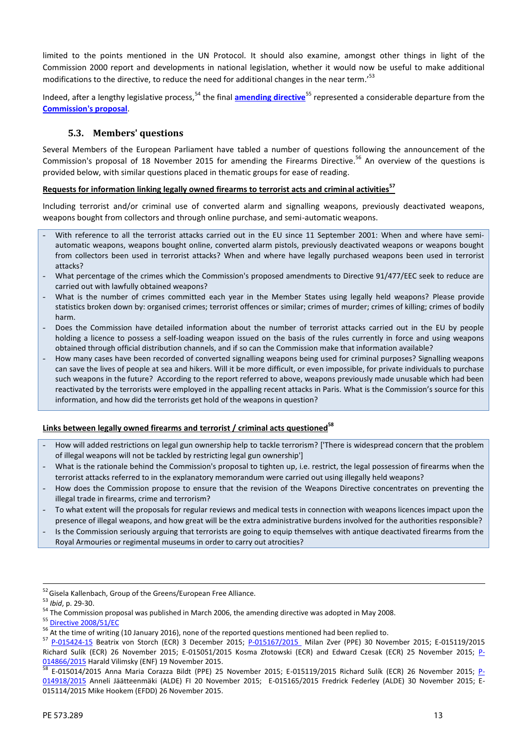limited to the points mentioned in the UN Protocol. It should also examine, amongst other things in light of the Commission 2000 report and developments in national legislation, whether it would now be useful to make additional modifications to the directive, to reduce the need for additional changes in the near term.<sup>'53</sup>

Indeed, after a lengthy legislative process,<sup>54</sup> the final **[amending directive](http://eur-lex.europa.eu/legal-content/EN/TXT/?uri=CELEX:32008L0051)**<sup>55</sup> represented a considerable departure from the **[Commission's proposal](http://eur-lex.europa.eu/legal-content/EN/TXT/?qid=1452255537561&uri=CELEX:52006PC0093)**.

## **5.3. Members' questions**

Several Members of the European Parliament have tabled a number of questions following the announcement of the Commission's proposal of 18 November 2015 for amending the Firearms Directive.<sup>56</sup> An overview of the questions is provided below, with similar questions placed in thematic groups for ease of reading.

### **Requests for information linking legally owned firearms to terrorist acts and criminal activities<sup>57</sup>**

Including terrorist and/or criminal use of converted alarm and signalling weapons, previously deactivated weapons, weapons bought from collectors and through online purchase, and semi-automatic weapons.

- With reference to all the terrorist attacks carried out in the EU since 11 September 2001: When and where have semiautomatic weapons, weapons bought online, converted alarm pistols, previously deactivated weapons or weapons bought from collectors been used in terrorist attacks? When and where have legally purchased weapons been used in terrorist attacks?
- What percentage of the crimes which the Commission's proposed amendments to Directive 91/477/EEC seek to reduce are carried out with lawfully obtained weapons?
- What is the number of crimes committed each year in the Member States using legally held weapons? Please provide statistics broken down by: organised crimes; terrorist offences or similar; crimes of murder; crimes of killing; crimes of bodily harm.
- Does the Commission have detailed information about the number of terrorist attacks carried out in the EU by people holding a licence to possess a self-loading weapon issued on the basis of the rules currently in force and using weapons obtained through official distribution channels, and if so can the Commission make that information available?
- How many cases have been recorded of converted signalling weapons being used for criminal purposes? Signalling weapons can save the lives of people at sea and hikers. Will it be more difficult, or even impossible, for private individuals to purchase such weapons in the future? According to the report referred to above, weapons previously made unusable which had been reactivated by the terrorists were employed in the appalling recent attacks in Paris. What is the Commission's source for this information, and how did the terrorists get hold of the weapons in question?

### **Links between legally owned firearms and terrorist / criminal acts questioned<sup>58</sup>**

- How will added restrictions on legal gun ownership help to tackle terrorism? ['There is widespread concern that the problem of illegal weapons will not be tackled by restricting legal gun ownership']
- What is the rationale behind the Commission's proposal to tighten up, i.e. restrict, the legal possession of firearms when the terrorist attacks referred to in the explanatory memorandum were carried out using illegally held weapons?
- How does the Commission propose to ensure that the revision of the Weapons Directive concentrates on preventing the illegal trade in firearms, crime and terrorism?
- To what extent will the proposals for regular reviews and medical tests in connection with weapons licences impact upon the presence of illegal weapons, and how great will be the extra administrative burdens involved for the authorities responsible?
- Is the Commission seriously arguing that terrorists are going to equip themselves with antique deactivated firearms from the Royal Armouries or regimental museums in order to carry out atrocities?

<sup>&</sup>lt;sup>52</sup> Gisela Kallenbach, Group of the Greens/European Free Alliance.<br><sup>53</sup> *Ibid*, p. 29-30.<br><sup>54</sup> The Commission proposal was published in March 2006, the amending directive was adopted in May 2008.<br><sup>55</sup> <u>Directive 2008/51/E</u>

<sup>&</sup>lt;sup>57</sup> [P-015424-15](http://www.europarl.europa.eu/sides/getDoc.do?pubRef=-//EP//TEXT+WQ+P-2015-015424+0+DOC+XML+V0//EN&language=en) Beatrix von Storch (ECR) 3 December 2015; [P-015167/2015](http://www.europarl.europa.eu/sides/getDoc.do?pubRef=-//EP//TEXT+WQ+P-2015-015167+0+DOC+XML+V0//EN)\_ Milan Zver (PPE) 30 November 2015; E-015119/2015 Richard Sulík (ECR) 26 November 2015; E-015051/2015 Kosma Złotowski (ECR) and Edward Czesak (ECR) 25 November 2015; [P-](http://www.europarl.europa.eu/sides/getDoc.do?pubRef=-//EP//TEXT+WQ+P-2015-014866+0+DOC+XML+V0//EN)

[<sup>014866/2015</sup>](http://www.europarl.europa.eu/sides/getDoc.do?pubRef=-//EP//TEXT+WQ+P-2015-014866+0+DOC+XML+V0//EN) Harald Vilimsky (ENF) 19 November 2015.<br><sup>58</sup> E-015014/2015 Anna Maria Corazza Bildt (PPE) 25 November 2015; E-015119/2015 Richard Sulík (ECR) 26 November 2015; [P-](http://www.europarl.europa.eu/sides/getDoc.do?pubRef=-//EP//TEXT+WQ+P-2015-014918+0+DOC+XML+V0//EN) [014918/2015](http://www.europarl.europa.eu/sides/getDoc.do?pubRef=-//EP//TEXT+WQ+P-2015-014918+0+DOC+XML+V0//EN) Anneli Jäätteenmäki (ALDE) FI 20 November 2015; E-015165/2015 Fredrick Federley (ALDE) 30 November 2015; E- 015114/2015 Mike Hookem (EFDD) 26 November 2015.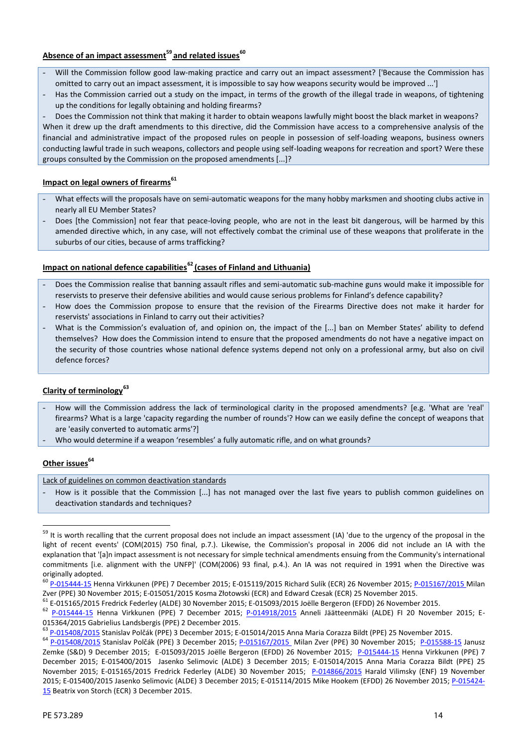# **Absence of an impact assessment<sup>59</sup> and related issues<sup>60</sup>**

- Will the Commission follow good law-making practice and carry out an impact assessment? ['Because the Commission has omitted to carry out an impact assessment, it is impossible to say how weapons security would be improved ...']
- Has the Commission carried out a study on the impact, in terms of the growth of the illegal trade in weapons, of tightening up the conditions for legally obtaining and holding firearms?
- Does the Commission not think that making it harder to obtain weapons lawfully might boost the black market in weapons?

When it drew up the draft amendments to this directive, did the Commission have access to a comprehensive analysis of the financial and administrative impact of the proposed rules on people in possession of self-loading weapons, business owners conducting lawful trade in such weapons, collectors and people using self-loading weapons for recreation and sport? Were these groups consulted by the Commission on the proposed amendments [...]?

# **Impact on legal owners of firearms<sup>61</sup>**

- What effects will the proposals have on semi-automatic weapons for the many hobby marksmen and shooting clubs active in nearly all EU Member States?
- Does [the Commission] not fear that peace-loving people, who are not in the least bit dangerous, will be harmed by this amended directive which, in any case, will not effectively combat the criminal use of these weapons that proliferate in the suburbs of our cities, because of arms trafficking?

# **Impact on national defence capabilities<sup>62</sup> (cases of Finland and Lithuania)**

- Does the Commission realise that banning assault rifles and semi-automatic sub-machine guns would make it impossible for reservists to preserve their defensive abilities and would cause serious problems for Finland's defence capability?
- How does the Commission propose to ensure that the revision of the Firearms Directive does not make it harder for reservists' associations in Finland to carry out their activities?
- What is the Commission's evaluation of, and opinion on, the impact of the [...] ban on Member States' ability to defend themselves? How does the Commission intend to ensure that the proposed amendments do not have a negative impact on the security of those countries whose national defence systems depend not only on a professional army, but also on civil defence forces?

### **Clarity of terminology<sup>63</sup>**

- How will the Commission address the lack of terminological clarity in the proposed amendments? [e.g. 'What are 'real' firearms? What is a large 'capacity regarding the number of rounds'? How can we easily define the concept of weapons that are 'easily converted to automatic arms'?]
- Who would determine if a weapon 'resembles' a fully automatic rifle, and on what grounds?

### **Other issues<sup>64</sup>**

Lack of guidelines on common deactivation standards

- How is it possible that the Commission [...] has not managed over the last five years to publish common guidelines on deactivation standards and techniques?

<sup>&</sup>lt;sup>59</sup> It is worth recalling that the current proposal does not include an impact assessment (IA) 'due to the urgency of the proposal in the light of recent events' (COM(2015) 750 final, p.7.). Likewise, the Commission's proposal in 2006 did not include an IA with the explanation that '[a]n impact assessment is not necessary for simple technical amendments ensuing from the Community's international commitments [i.e. alignment with the UNFP]' (COM(2006) 93 final, p.4.). An IA was not required in 1991 when the Directive was

originally adopted.<br><sup>60</sup> [P-015444-15](http://www.europarl.europa.eu/sides/getDoc.do?pubRef=-//EP//TEXT+WQ+P-2015-015444+0+DOC+XML+V0//EN&language=en) Henna Virkkunen (PPE) 7 December 2015; E-015119/2015 Richard Sulík (ECR) 26 November 2015; <u>[P-015167/2015](http://www.europarl.europa.eu/sides/getDoc.do?pubRef=-//EP//TEXT+WQ+P-2015-015167+0+DOC+XML+V0//EN) M</u>ilan

Zver (PPE) 30 November 2015; E-015051/2015 Kosma Złotowski (ECR) and Edward Czesak (ECR) 25 November 2015.<br><sup>61</sup> E-015165/2015 Fredrick Federley (ALDE) 30 November 2015; E-015093/2015 Joëlle Bergeron (EFDD) 26 November 2015

<sup>015364/2015</sup> Gabrielius Landsbergis (PPE) 2 December 2015.<br><sup>63</sup> [P-015408/2015](http://www.europarl.europa.eu/sides/getDoc.do?type=WQ&reference=P-2015-015408&format=XML&language=EN) Stanislav Polčák (PPE) 3 December 2015; E-015014/2015 Anna Maria Corazza Bildt (PPE) 25 November 2015.<br><sup>64</sup> P-015408/2015 Stanislav Polčák (PPE) Zemke (S&D) 9 December 2015; E-015093/2015 Joëlle Bergeron (EFDD) 26 November 2015; [P-015444-15](http://www.europarl.europa.eu/sides/getDoc.do?pubRef=-//EP//TEXT+WQ+P-2015-015444+0+DOC+XML+V0//EN&language=en) Henna Virkkunen (PPE) 7 December 2015; E-015400/2015 Jasenko Selimovic (ALDE) 3 December 2015; E-015014/2015 Anna Maria Corazza Bildt (PPE) 25 November 2015; E-015165/2015 Fredrick Federley (ALDE) 30 November 2015; [P-014866/2015](http://www.europarl.europa.eu/sides/getDoc.do?pubRef=-//EP//TEXT+WQ+P-2015-014866+0+DOC+XML+V0//EN) Harald Vilimsky (ENF) 19 November 2015; E-015400/2015 Jasenko Selimovic (ALDE) 3 December 2015; E-015114/2015 Mike Hookem (EFDD) 26 November 2015; [P-015424-](http://www.europarl.europa.eu/sides/getDoc.do?pubRef=-//EP//TEXT+WQ+P-2015-015424+0+DOC+XML+V0//EN&language=en) [15](http://www.europarl.europa.eu/sides/getDoc.do?pubRef=-//EP//TEXT+WQ+P-2015-015424+0+DOC+XML+V0//EN&language=en) Beatrix von Storch (ECR) 3 December 2015.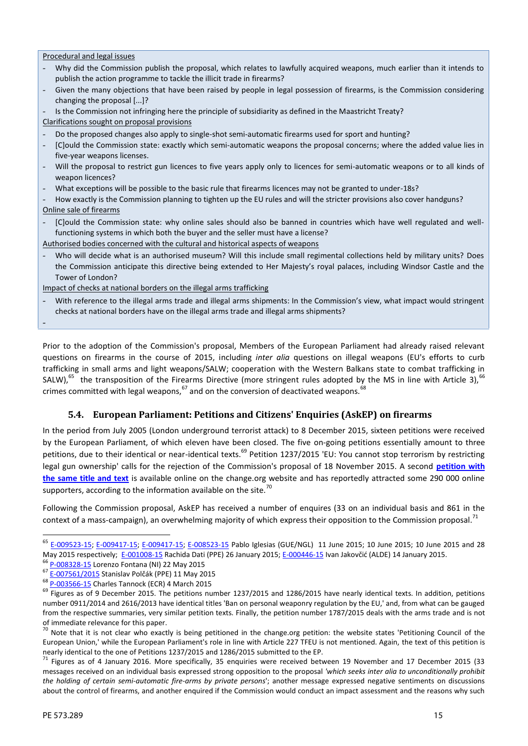Procedural and legal issues

- Why did the Commission publish the proposal, which relates to lawfully acquired weapons, much earlier than it intends to publish the action programme to tackle the illicit trade in firearms?
- Given the many objections that have been raised by people in legal possession of firearms, is the Commission considering changing the proposal [...]?
- Is the Commission not infringing here the principle of subsidiarity as defined in the Maastricht Treaty?

Clarifications sought on proposal provisions

- Do the proposed changes also apply to single-shot semi-automatic firearms used for sport and hunting?
- [C]ould the Commission state: exactly which semi-automatic weapons the proposal concerns; where the added value lies in five-year weapons licenses.
- Will the proposal to restrict gun licences to five years apply only to licences for semi-automatic weapons or to all kinds of weapon licences?
- What exceptions will be possible to the basic rule that firearms licences may not be granted to under-18s?

How exactly is the Commission planning to tighten up the EU rules and will the stricter provisions also cover handguns? Online sale of firearms

- [C]ould the Commission state: why online sales should also be banned in countries which have well regulated and wellfunctioning systems in which both the buyer and the seller must have a license?
- Authorised bodies concerned with the cultural and historical aspects of weapons
- Who will decide what is an authorised museum? Will this include small regimental collections held by military units? Does the Commission anticipate this directive being extended to Her Majesty's royal palaces, including Windsor Castle and the Tower of London?

Impact of checks at national borders on the illegal arms trafficking

With reference to the illegal arms trade and illegal arms shipments: In the Commission's view, what impact would stringent checks at national borders have on the illegal arms trade and illegal arms shipments?

-

Prior to the adoption of the Commission's proposal, Members of the European Parliament had already raised relevant questions on firearms in the course of 2015, including *inter alia* questions on illegal weapons (EU's efforts to curb trafficking in small arms and light weapons/SALW; cooperation with the Western Balkans state to combat trafficking in SALW), $^{65}$  the transposition of the Firearms Directive (more stringent rules adopted by the MS in line with Article 3),  $^{66}$ crimes committed with legal weapons,  $67$  and on the conversion of deactivated weapons.  $68$ 

# **5.4. European Parliament: Petitions and Citizens' Enquiries (AskEP) on firearms**

In the period from July 2005 (London underground terrorist attack) to 8 December 2015, sixteen petitions were received by the European Parliament, of which eleven have been closed. The five on-going petitions essentially amount to three petitions, due to their identical or near-identical texts.<sup>69</sup> Petition 1237/2015 'EU: You cannot stop terrorism by restricting legal gun ownership' calls for the rejection of the Commission's proposal of 18 November 2015. A second **[petition with](https://www.change.org/p/council-of-the-european-union-eu-you-cannot-stop-terrorism-by-restricting-legal-gun-ownership) [the same title and text](https://www.change.org/p/council-of-the-european-union-eu-you-cannot-stop-terrorism-by-restricting-legal-gun-ownership)** is available online on the change.org website and has reportedly attracted some 290 000 online supporters, according to the information available on the site.<sup>70</sup>

Following the Commission proposal, AskEP has received a number of enquires (33 on an individual basis and 861 in the context of a mass-campaign), an overwhelming majority of which express their opposition to the Commission proposal.<sup>71</sup>

<sup>65</sup> [E-009523-15;](http://www.europarl.europa.eu/sides/getDoc.do?pubRef=-%2f%2fEP%2f%2fTEXT%2bWQ%2bE-2015-009523%2b0%2bDOC%2bXML%2bV0%2f%2fEN&language=EN) [E-009417-15;](http://www.europarl.europa.eu/sides/getDoc.do?pubRef=-%2f%2fEP%2f%2fTEXT%2bWQ%2bE-2015-009417%2b0%2bDOC%2bXML%2bV0%2f%2fEN&language=EN) [E-009417-15;](http://www.europarl.europa.eu/sides/getDoc.do?pubRef=-%2f%2fEP%2f%2fTEXT%2bWQ%2bE-2015-009417%2b0%2bDOC%2bXML%2bV0%2f%2fEN&language=EN) [E-008523-15](http://www.europarl.europa.eu/sides/getDoc.do?pubRef=-%2f%2fEP%2f%2fTEXT%2bWQ%2bE-2015-008523%2b0%2bDOC%2bXML%2bV0%2f%2fEN&language=EN) Pablo Iglesias (GUE/NGL) 11 June 2015; 10 June 2015; 10 June 2015 and 28 May 2015 respectively; [E-001008-15](http://www.europarl.europa.eu/sides/getDoc.do?pubRef=-%2f%2fEP%2f%2fTEXT%2bWQ%2bE-2015-001008%2b0%2bDOC%2bXML%2bV0%2f%2fEN&language=EN) Rachida Dati (PPE) 26 January 2015; E-[000446-15](http://www.europarl.europa.eu/sides/getDoc.do?pubRef=-%2f%2fEP%2f%2fTEXT%2bWQ%2bE-2015-000446%2b0%2bDOC%2bXML%2bV0%2f%2fEN&language=EN) Ivan Jakovčić (ALDE) 14 January 2015.<br><sup>66</sup> [P-008328-15](http://www.europarl.europa.eu/sides/getDoc.do?pubRef=-%2f%2fEP%2f%2fTEXT%2bWQ%2bP-2015-008328%2b0%2bDOC%2bXML%2bV0%2f%2fEN&language=EN) Lorenzo Fontana (NI) 22 May 2015

<sup>67</sup> [E-007561/2015](http://www.europarl.europa.eu/sides/getDoc.do?type=WQ&reference=E-2015-007561&language=EN) Stanislav Polčák (PPE) 11 May 2015

<sup>&</sup>lt;sup>68</sup> [P-003566-15](http://www.europarl.europa.eu/sides/getDoc.do?pubRef=-%2f%2fEP%2f%2fTEXT%2bWQ%2bP-2015-003566%2b0%2bDOC%2bXML%2bV0%2f%2fEN&language=EN) Charles Tannock (ECR) 4 March 2015

 $69$  Figures as of 9 December 2015. The petitions number 1237/2015 and 1286/2015 have nearly identical texts. In addition, petitions number 0911/2014 and 2616/2013 have identical titles 'Ban on personal weaponry regulation by the EU,' and, from what can be gauged from the respective summaries, very similar petition texts. Finally, the petition number 1787/2015 deals with the arms trade and is not

of immediate relevance for this paper.<br><sup>70</sup> Note that it is not clear who exactly is being petitioned in the change.org petition: the website states 'Petitioning Council of the European Union,' while the European Parliament's role in line with Article 227 TFEU is not mentioned. Again, the text of this petition is

nearly identical to the one of Petitions 1237/2015 and 1286/2015 submitted to the EP.<br><sup>71</sup> Figures as of 4 January 2016. More specifically, 35 enquiries were received between 19 November and 17 December 2015 (33 messages received on an individual basis expressed strong opposition to the proposal *'which seeks inter alia to unconditionally prohibit the holding of certain semi-automatic fire-arms by private persons*'; another message expressed negative sentiments on discussions about the control of firearms, and another enquired if the Commission would conduct an impact assessment and the reasons why such